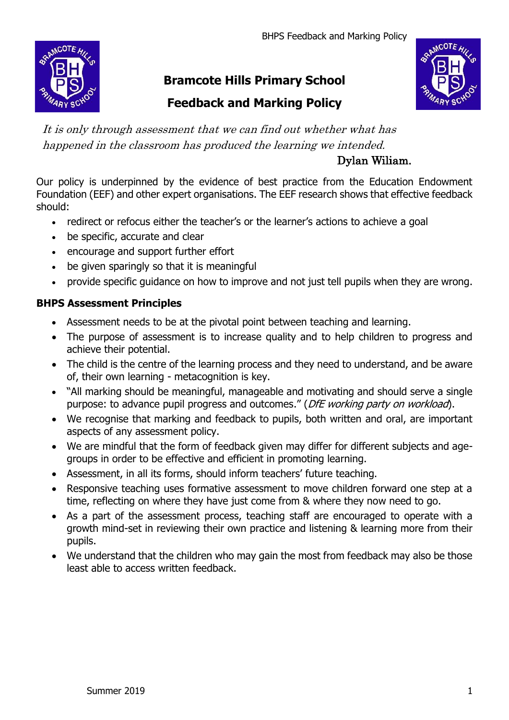BHPS Feedback and Marking Policy



# **Bramcote Hills Primary School**

# **Feedback and Marking Policy**



It is only through assessment that we can find out whether what has happened in the classroom has produced the learning we intended.

# Dylan Wiliam.

Our policy is underpinned by the evidence of best practice from the Education Endowment Foundation (EEF) and other expert organisations. The EEF research shows that effective feedback should:

- redirect or refocus either the teacher's or the learner's actions to achieve a goal
- be specific, accurate and clear
- encourage and support further effort
- be given sparingly so that it is meaningful
- provide specific guidance on how to improve and not just tell pupils when they are wrong.

## **BHPS Assessment Principles**

- Assessment needs to be at the pivotal point between teaching and learning.
- The purpose of assessment is to increase quality and to help children to progress and achieve their potential.
- The child is the centre of the learning process and they need to understand, and be aware of, their own learning - metacognition is key.
- "All marking should be meaningful, manageable and motivating and should serve a single purpose: to advance pupil progress and outcomes." (DfE working party on workload).
- We recognise that marking and feedback to pupils, both written and oral, are important aspects of any assessment policy.
- We are mindful that the form of feedback given may differ for different subjects and agegroups in order to be effective and efficient in promoting learning.
- Assessment, in all its forms, should inform teachers' future teaching.
- Responsive teaching uses formative assessment to move children forward one step at a time, reflecting on where they have just come from & where they now need to go.
- As a part of the assessment process, teaching staff are encouraged to operate with a growth mind-set in reviewing their own practice and listening & learning more from their pupils.
- We understand that the children who may gain the most from feedback may also be those least able to access written feedback.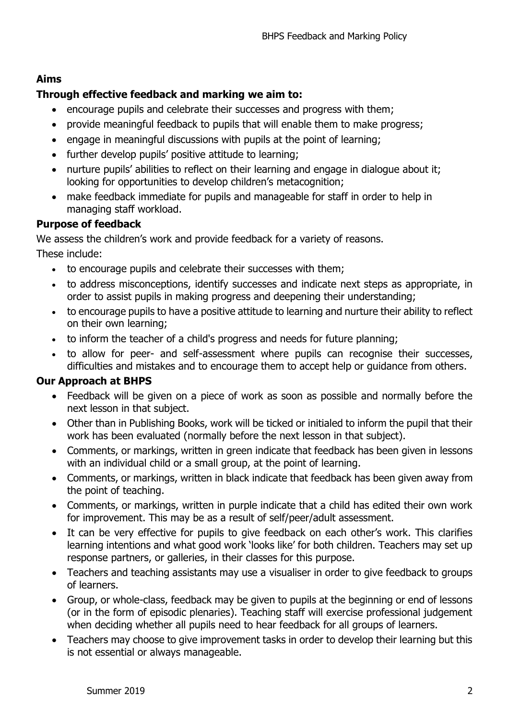## **Aims**

## **Through effective feedback and marking we aim to:**

- encourage pupils and celebrate their successes and progress with them;
- provide meaningful feedback to pupils that will enable them to make progress;
- engage in meaningful discussions with pupils at the point of learning;
- further develop pupils' positive attitude to learning;
- nurture pupils' abilities to reflect on their learning and engage in dialogue about it; looking for opportunities to develop children's metacognition;
- make feedback immediate for pupils and manageable for staff in order to help in managing staff workload.

#### **Purpose of feedback**

We assess the children's work and provide feedback for a variety of reasons. These include:

- to encourage pupils and celebrate their successes with them;
- to address misconceptions, identify successes and indicate next steps as appropriate, in order to assist pupils in making progress and deepening their understanding;
- to encourage pupils to have a positive attitude to learning and nurture their ability to reflect on their own learning;
- to inform the teacher of a child's progress and needs for future planning;
- to allow for peer- and self-assessment where pupils can recognise their successes, difficulties and mistakes and to encourage them to accept help or guidance from others.

#### **Our Approach at BHPS**

- Feedback will be given on a piece of work as soon as possible and normally before the next lesson in that subject.
- Other than in Publishing Books, work will be ticked or initialed to inform the pupil that their work has been evaluated (normally before the next lesson in that subject).
- Comments, or markings, written in green indicate that feedback has been given in lessons with an individual child or a small group, at the point of learning.
- Comments, or markings, written in black indicate that feedback has been given away from the point of teaching.
- Comments, or markings, written in purple indicate that a child has edited their own work for improvement. This may be as a result of self/peer/adult assessment.
- It can be very effective for pupils to give feedback on each other's work. This clarifies learning intentions and what good work 'looks like' for both children. Teachers may set up response partners, or galleries, in their classes for this purpose.
- Teachers and teaching assistants may use a visualiser in order to give feedback to groups of learners.
- Group, or whole-class, feedback may be given to pupils at the beginning or end of lessons (or in the form of episodic plenaries). Teaching staff will exercise professional judgement when deciding whether all pupils need to hear feedback for all groups of learners.
- Teachers may choose to give improvement tasks in order to develop their learning but this is not essential or always manageable.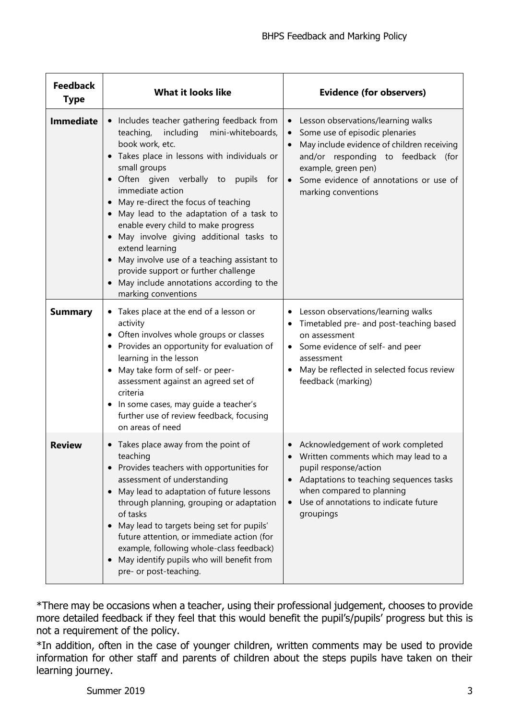| <b>Feedback</b><br><b>Type</b> | <b>What it looks like</b>                                                                                                                                                                                                                                                                                                                                                                                                                                                                                                                                                                                                                  | <b>Evidence (for observers)</b>                                                                                                                                                                                                                    |
|--------------------------------|--------------------------------------------------------------------------------------------------------------------------------------------------------------------------------------------------------------------------------------------------------------------------------------------------------------------------------------------------------------------------------------------------------------------------------------------------------------------------------------------------------------------------------------------------------------------------------------------------------------------------------------------|----------------------------------------------------------------------------------------------------------------------------------------------------------------------------------------------------------------------------------------------------|
| <b>Immediate</b>               | Includes teacher gathering feedback from<br>$\bullet$<br>teaching,<br>including<br>mini-whiteboards,<br>book work, etc.<br>Takes place in lessons with individuals or<br>$\bullet$<br>small groups<br>· Often given verbally to<br>pupils for<br>immediate action<br>May re-direct the focus of teaching<br>May lead to the adaptation of a task to<br>$\bullet$<br>enable every child to make progress<br>May involve giving additional tasks to<br>extend learning<br>May involve use of a teaching assistant to<br>$\bullet$<br>provide support or further challenge<br>May include annotations according to the<br>marking conventions | Lesson observations/learning walks<br>Some use of episodic plenaries<br>May include evidence of children receiving<br>and/or responding to feedback (for<br>example, green pen)<br>• Some evidence of annotations or use of<br>marking conventions |
| <b>Summary</b>                 | • Takes place at the end of a lesson or<br>activity<br>Often involves whole groups or classes<br>Provides an opportunity for evaluation of<br>٠<br>learning in the lesson<br>May take form of self- or peer-<br>assessment against an agreed set of<br>criteria<br>In some cases, may guide a teacher's<br>$\bullet$<br>further use of review feedback, focusing<br>on areas of need                                                                                                                                                                                                                                                       | Lesson observations/learning walks<br>Timetabled pre- and post-teaching based<br>on assessment<br>Some evidence of self- and peer<br>assessment<br>May be reflected in selected focus review<br>feedback (marking)                                 |
| <b>Review</b>                  | Takes place away from the point of<br>$\bullet$<br>teaching<br>Provides teachers with opportunities for<br>assessment of understanding<br>May lead to adaptation of future lessons<br>$\bullet$<br>through planning, grouping or adaptation<br>of tasks<br>May lead to targets being set for pupils'<br>future attention, or immediate action (for<br>example, following whole-class feedback)<br>May identify pupils who will benefit from<br>pre- or post-teaching.                                                                                                                                                                      | Acknowledgement of work completed<br>Written comments which may lead to a<br>pupil response/action<br>Adaptations to teaching sequences tasks<br>when compared to planning<br>Use of annotations to indicate future<br>groupings                   |

\*There may be occasions when a teacher, using their professional judgement, chooses to provide more detailed feedback if they feel that this would benefit the pupil's/pupils' progress but this is not a requirement of the policy.

\*In addition, often in the case of younger children, written comments may be used to provide information for other staff and parents of children about the steps pupils have taken on their learning journey.